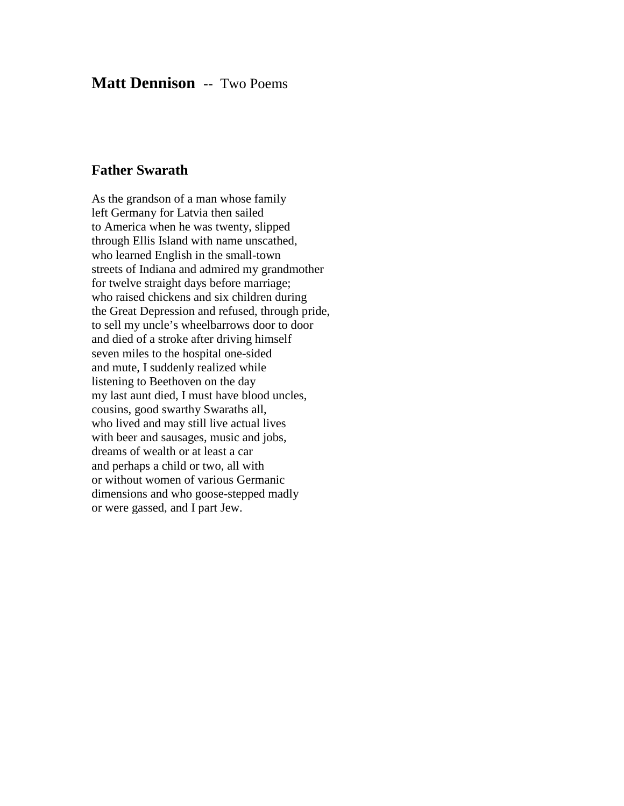## **Matt Dennison** -- Two Poems

## **Father Swarath**

As the grandson of a man whose family left Germany for Latvia then sailed to America when he was twenty, slipped through Ellis Island with name unscathed, who learned English in the small-town streets of Indiana and admired my grandmother for twelve straight days before marriage; who raised chickens and six children during the Great Depression and refused, through pride, to sell my uncle's wheelbarrows door to door and died of a stroke after driving himself seven miles to the hospital one-sided and mute, I suddenly realized while listening to Beethoven on the day my last aunt died, I must have blood uncles, cousins, good swarthy Swaraths all, who lived and may still live actual lives with beer and sausages, music and jobs, dreams of wealth or at least a car and perhaps a child or two, all with or without women of various Germanic dimensions and who goose-stepped madly or were gassed, and I part Jew.